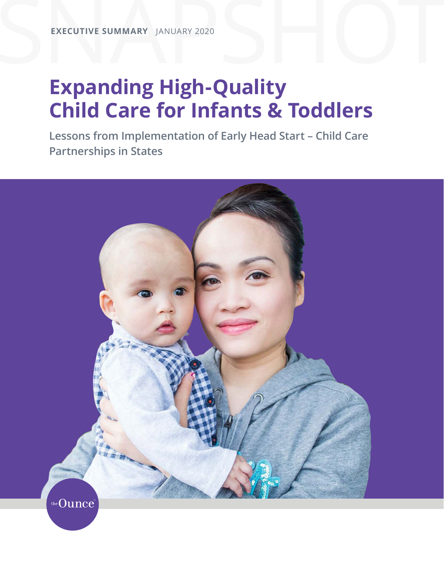## **Expanding High-Quality Child Care for Infants & Toddlers**

**Lessons from Implementation of Early Head Start – Child Care Partnerships in States**

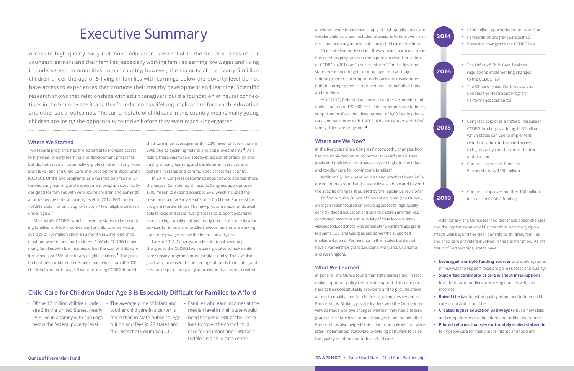# Executive Summary

Access to high-quality early childhood education is essential to the future success of our youngest learners and their families, especially working families earning low wages and living in underserved communities. In our country, however, the majority of the nearly 5 million children under the age of 5 living in families with earnings below the poverty level do not have access to experiences that promote their healthy development and learning. Scientific research shows that relationships with adult caregivers build a foundation of neural connections in the brain by age 3, and this foundation has lifelong implications for health, education and other social outcomes. The current state of child care in this country means many young children are losing the opportunity to thrive before they even reach kindergarten.

#### **Where We Started**

Two federal programs had the potential to increase access to high-quality early learning and development programs but did not reach all potentially eligible children – Early Head Start (EHS) and the Child Care and Development Block Grant (CCDBG). Of the two programs, EHS was the only federallyfunded early learning and development program specifically designed for families with very young children and earnings at or below the federal poverty level. In 2014, EHS funded 107,393 slots – or only approximately 4% of eligible children under age 3.**<sup>1</sup>**

Meanwhile, CCDBG, which is used by states to help working families with low incomes pay for child care, served an average of 1.4 million children a month in 2014, one third of whom were infants and toddlers.**<sup>2</sup>** While CCDBG helped many families with low incomes offset the cost of child care, it reached just 15% of federally eligible children.**<sup>3</sup>** The grant had not been updated in decades, and fewer than 400,000 children from birth to age 3 were receiving CCDBG-funded

child care in an average month – 22% fewer children than in 2006 due to declining federal and state investments.**<sup>4</sup>** As a result, there was wide disparity in access, affordability and quality of early learning and development services and systems in states and communities across the country.

In 2014, Congress deliberated about how to address these challenges. Considering all factors, Congress appropriated \$500 million to expand access to EHS, which included the creation of a new Early Head Start – Child Care Partnerships program (Partnerships). The new program made funds available to local and state-level grantees to support expanded access to high-quality, full-year early child care and education services for infants and toddlers whose families are working but earning wages below the federal poverty level.

Late in 2014, Congress made additional sweeping changes to the CCDBG law, requiring states to make child care subsidy programs more family-friendly. The law also gradually increased the percentage of funds that state grantees could spend on quality improvement activities, created

### **Child Care for Children Under Age 3 is Especially Difficult for Families to Afford**

a new set-aside to increase supply of high-quality infant and toddler child care and included provisions to improve timeliness and accuracy in how states pay child care providers.

One state leader described these moves, particularly the Partnerships program and the bipartisan reauthorization of CCDBG in 2014, as "a perfect storm." For the first time, states were encouraged to bring together two major federal programs to support early care and development – both fostering systemic improvements on behalf of babies and toddlers.

• Of the 12 million children under • The average price of infant and • Families who earn incomes at the toddler child care in a center is more than in-state public college tuition and fees in 28 states and the District of Columbia (D.C.).

As of 2017, federal data shows that the Partnerships initiative had funded 32,000 EHS slots for infants and toddlers, supported professional development of 8,000 early educators, and partnered with 1,400 child care centers and 1,000 family child care programs.**<sup>5</sup>**

#### **Where are We Now?**

In the five years since Congress' noteworthy changes, how has the implementation of Partnerships informed state goals and policies to improve access to high-quality infant and toddler care for low-income families?

Additionally, how have policies and practices been influenced on the ground at the state level – above and beyond the specific changes stipulated by the legislative revisions?

To find out, the Ounce of Prevention Fund (the Ounce), an organization focused on providing access to high-quality early childhood education and care to children and families, conducted interviews with a variety of state leaders. Interviewees included those who administer a Partnerships grant (Alabama, D.C. and Georgia), and some who supported implementation of Partnerships in their states but did not have a Partnerships grant (Louisiana, Maryland, Oklahoma and Washington).

#### **What We Learned**

In general, the Ounce found that state leaders did, in fact, make important policy reforms to support child care partners to be successful EHS providers and to provide stable access to quality care for children and families served in Partnerships. Strikingly, state leaders who the Ounce interviewed made positive changes whether they had a federal grant at the state level or not. Changes made on behalf of Partnerships also helped states fine-tune policies that were later implemented statewide, providing pathways to raise the quality of infant and toddler child care.

Additionally, the Ounce learned that these policy changes and the implementation of Partnerships had many ripple effects well beyond the clear benefits to children, families and child care providers involved in the Partnerships. As the result of Partnerships, states have:

- **Leveraged multiple funding sources** and state systems in new ways to support local program success and quality.
- **Supported continuity of care without interruptions** for infants and toddlers in working families with low incomes.
- **Raised the bar** for what quality infant and toddler child care could and should be.
- **Created higher education pathways** to build new skills and competencies for the infant and toddler workforce.
- **Piloted reforms that were ultimately scaled statewide** to improve care for many more infants and toddlers.



age 3 in the United States, nearly 25% live in a family with earnings below the federal poverty level.

median level in their state would need to spend 18% of their earnings to cover the cost of child care for an infant and 13% for a toddler in a child care center.